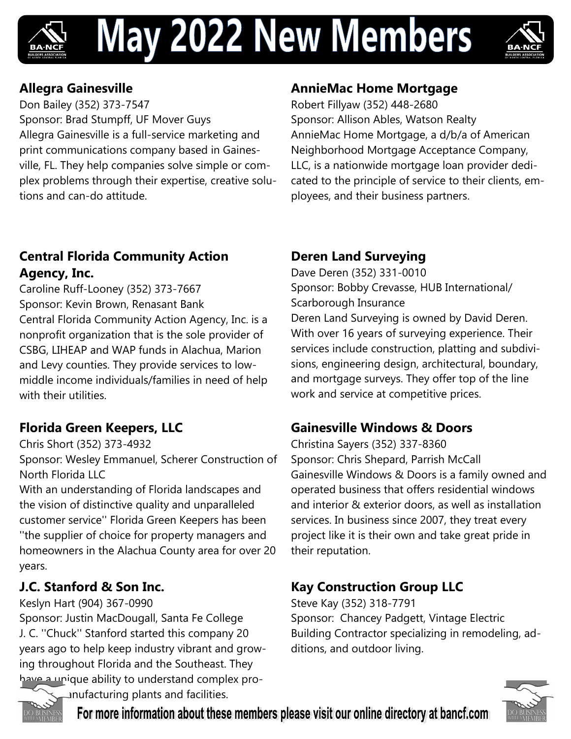# **May 2022 New Members**



## **Allegra Gainesville**

Don Bailey (352) 373-7547 Sponsor: Brad Stumpff, UF Mover Guys Allegra Gainesville is a full-service marketing and print communications company based in Gainesville, FL. They help companies solve simple or complex problems through their expertise, creative solutions and can-do attitude.

## **AnnieMac Home Mortgage**

Robert Fillyaw (352) 448-2680 Sponsor: Allison Ables, Watson Realty AnnieMac Home Mortgage, a d/b/a of American Neighborhood Mortgage Acceptance Company, LLC, is a nationwide mortgage loan provider dedicated to the principle of service to their clients, employees, and their business partners.

#### **Central Florida Community Action Agency, Inc.**

Caroline Ruff-Looney (352) 373-7667 Sponsor: Kevin Brown, Renasant Bank Central Florida Community Action Agency, Inc. is a nonprofit organization that is the sole provider of CSBG, LIHEAP and WAP funds in Alachua, Marion and Levy counties. They provide services to lowmiddle income individuals/families in need of help with their utilities.

## **Florida Green Keepers, LLC**

Chris Short (352) 373-4932

Sponsor: Wesley Emmanuel, Scherer Construction of North Florida LLC

With an understanding of Florida landscapes and the vision of distinctive quality and unparalleled customer service'' Florida Green Keepers has been ''the supplier of choice for property managers and homeowners in the Alachua County area for over 20 years.

## **J.C. Stanford & Son Inc.**

Keslyn Hart (904) 367-0990

Sponsor: Justin MacDougall, Santa Fe College J. C. ''Chuck'' Stanford started this company 20 years ago to help keep industry vibrant and growing throughout Florida and the Southeast. They have a unique ability to understand complex pro-

## **Deren Land Surveying**

Dave Deren (352) 331-0010 Sponsor: Bobby Crevasse, HUB International/ Scarborough Insurance Deren Land Surveying is owned by David Deren. With over 16 years of surveying experience. Their services include construction, platting and subdivisions, engineering design, architectural, boundary, and mortgage surveys. They offer top of the line work and service at competitive prices.

#### **Gainesville Windows & Doors**

Christina Sayers (352) 337-8360 Sponsor: Chris Shepard, Parrish McCall Gainesville Windows & Doors is a family owned and operated business that offers residential windows and interior & exterior doors, as well as installation services. In business since 2007, they treat every project like it is their own and take great pride in their reputation.

## **Kay Construction Group LLC**

Steve Kay (352) 318-7791 Sponsor: Chancey Padgett, Vintage Electric Building Contractor specializing in remodeling, additions, and outdoor living.





For more information about these members please visit our online directory at bancf.com

in ufacturing plants and facilities.